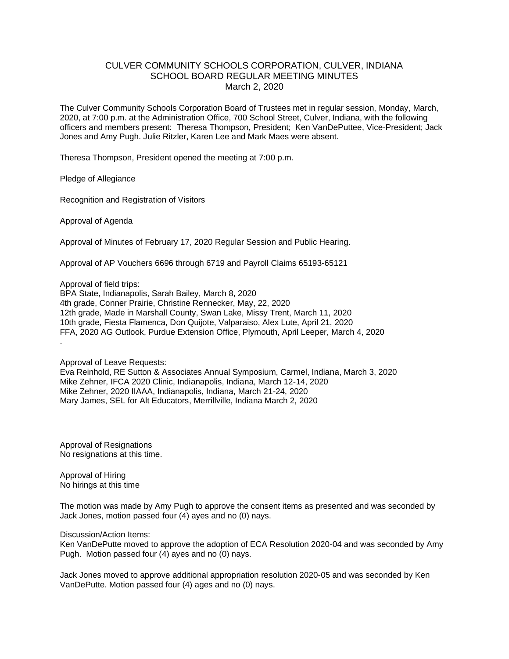## CULVER COMMUNITY SCHOOLS CORPORATION, CULVER, INDIANA SCHOOL BOARD REGULAR MEETING MINUTES March 2, 2020

The Culver Community Schools Corporation Board of Trustees met in regular session, Monday, March, 2020, at 7:00 p.m. at the Administration Office, 700 School Street, Culver, Indiana, with the following officers and members present: Theresa Thompson, President; Ken VanDePuttee, Vice-President; Jack Jones and Amy Pugh. Julie Ritzler, Karen Lee and Mark Maes were absent.

Theresa Thompson, President opened the meeting at 7:00 p.m.

Pledge of Allegiance

Recognition and Registration of Visitors

Approval of Agenda

Approval of Minutes of February 17, 2020 Regular Session and Public Hearing.

Approval of AP Vouchers 6696 through 6719 and Payroll Claims 65193-65121

Approval of field trips:

BPA State, Indianapolis, Sarah Bailey, March 8, 2020 4th grade, Conner Prairie, Christine Rennecker, May, 22, 2020 12th grade, Made in Marshall County, Swan Lake, Missy Trent, March 11, 2020 10th grade, Fiesta Flamenca, Don Quijote, Valparaiso, Alex Lute, April 21, 2020 FFA, 2020 AG Outlook, Purdue Extension Office, Plymouth, April Leeper, March 4, 2020 .

Approval of Leave Requests:

Eva Reinhold, RE Sutton & Associates Annual Symposium, Carmel, Indiana, March 3, 2020 Mike Zehner, IFCA 2020 Clinic, Indianapolis, Indiana, March 12-14, 2020 Mike Zehner, 2020 IIAAA, Indianapolis, Indiana, March 21-24, 2020 Mary James, SEL for Alt Educators, Merrillville, Indiana March 2, 2020

Approval of Resignations No resignations at this time.

Approval of Hiring No hirings at this time

The motion was made by Amy Pugh to approve the consent items as presented and was seconded by Jack Jones, motion passed four (4) ayes and no (0) nays.

## Discussion/Action Items:

Ken VanDePutte moved to approve the adoption of ECA Resolution 2020-04 and was seconded by Amy Pugh. Motion passed four (4) ayes and no (0) nays.

Jack Jones moved to approve additional appropriation resolution 2020-05 and was seconded by Ken VanDePutte. Motion passed four (4) ages and no (0) nays.